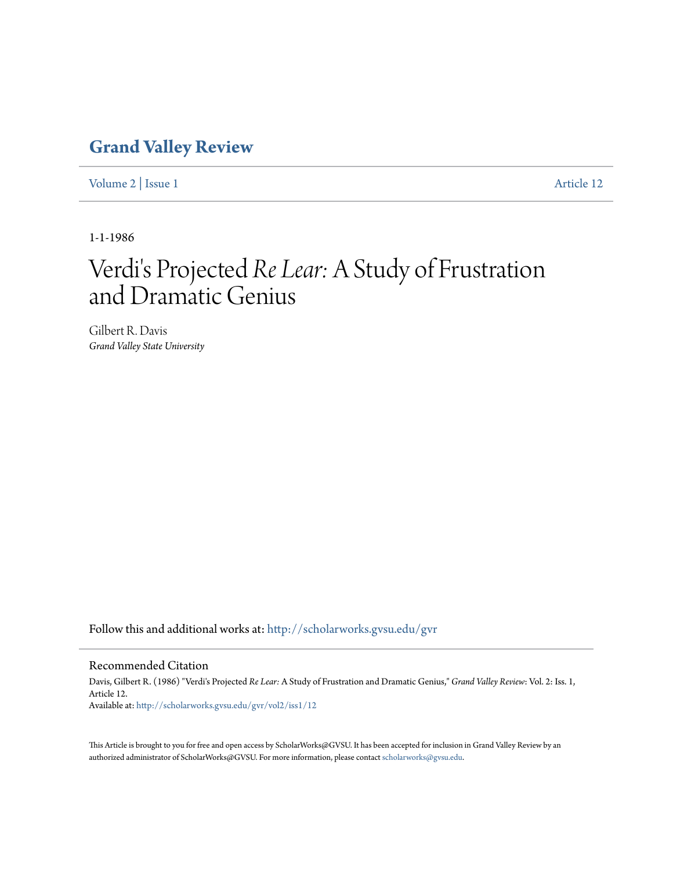## **[Grand Valley Review](http://scholarworks.gvsu.edu/gvr?utm_source=scholarworks.gvsu.edu%2Fgvr%2Fvol2%2Fiss1%2F12&utm_medium=PDF&utm_campaign=PDFCoverPages)**

[Volume 2](http://scholarworks.gvsu.edu/gvr/vol2?utm_source=scholarworks.gvsu.edu%2Fgvr%2Fvol2%2Fiss1%2F12&utm_medium=PDF&utm_campaign=PDFCoverPages) | [Issue 1](http://scholarworks.gvsu.edu/gvr/vol2/iss1?utm_source=scholarworks.gvsu.edu%2Fgvr%2Fvol2%2Fiss1%2F12&utm_medium=PDF&utm_campaign=PDFCoverPages) [Article 12](http://scholarworks.gvsu.edu/gvr/vol2/iss1/12?utm_source=scholarworks.gvsu.edu%2Fgvr%2Fvol2%2Fiss1%2F12&utm_medium=PDF&utm_campaign=PDFCoverPages)

1-1-1986

# Verdi's Projected *Re Lear:* A Study of Frustration and Dramatic Genius

Gilbert R. Davis *Grand Valley State University*

Follow this and additional works at: [http://scholarworks.gvsu.edu/gvr](http://scholarworks.gvsu.edu/gvr?utm_source=scholarworks.gvsu.edu%2Fgvr%2Fvol2%2Fiss1%2F12&utm_medium=PDF&utm_campaign=PDFCoverPages)

#### Recommended Citation

Davis, Gilbert R. (1986) "Verdi's Projected *Re Lear:* A Study of Frustration and Dramatic Genius," *Grand Valley Review*: Vol. 2: Iss. 1, Article 12. Available at: [http://scholarworks.gvsu.edu/gvr/vol2/iss1/12](http://scholarworks.gvsu.edu/gvr/vol2/iss1/12?utm_source=scholarworks.gvsu.edu%2Fgvr%2Fvol2%2Fiss1%2F12&utm_medium=PDF&utm_campaign=PDFCoverPages)

This Article is brought to you for free and open access by ScholarWorks@GVSU. It has been accepted for inclusion in Grand Valley Review by an authorized administrator of ScholarWorks@GVSU. For more information, please contact [scholarworks@gvsu.edu.](mailto:scholarworks@gvsu.edu)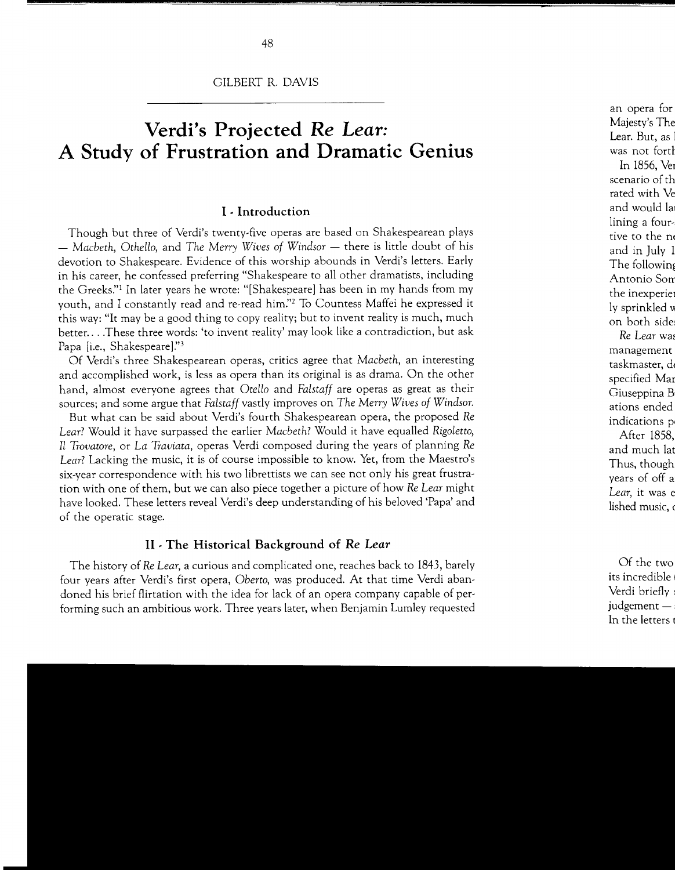## **Verdi's Projected** *Re Lear:*  **A Study of Frustration and Dramatic Genius**

#### I · **Introduction**

Though but three of Verdi's twenty-five operas are based on Shakespearean plays  $-$  *Macbeth, Othello, and The Merry Wives of Windsor*  $-$  there is little doubt of his devotion to Shakespeare. Evidence of this worship abounds in Verdi's letters. Early in his career, he confessed preferring "Shakespeare to all other dramatists, including the Greeks." In later years he wrote: "[Shakespeare] has been in my hands from my youth, and I constantly read and re-read him."<sup>2</sup> To Countess Maffei he expressed it this way: "It may be a good thing to copy reality; but to invent reality is much, much better ... .These three words: 'to invent reality' may look like a contradiction, but ask Papa [i.e., Shakespeare]."3

Of Verdi's three Shakespearean operas, critics agree that *Macbeth,* an interesting and accomplished work, is less as opera than its original is as drama. On the other hand, almost everyone agrees that *Otello* and *Falstaff* are operas as great as their sources; and some argue that *Falstaff* vastly improves on *The Merry Wives of Windsor.* 

But what can be said about Verdi's fourth Shakespearean opera, the proposed *Re Lear?* Would it have surpassed the earlier *Macbeth?* Would it have equalled *Rigoletto, Il Trovatore,* or *La Traviata,* operas Verdi composed during the years of planning *Re Lear?* Lacking the music, it is of course impossible to know. Yet, from the Maestro's six-year correspondence with his two librettists we can see not only his great frustration with one of them, but we can also piece together a picture of how *Re Lear* might have looked. These letters reveal Verdi's deep understanding of his beloved 'Papa' and of the operatic stage.

#### II . **The Historical Background of** *Re* **Lear**

The history of *Re Lear,* a curious and complicated one, reaches back to 1843, barely four years after Verdi's first opera, *Oberto,* was produced. At that time Verdi abandoned his brief flirtation with the idea for lack of an opera company capable of performing such an ambitious work. Three years later, when Benjamin Lumley requested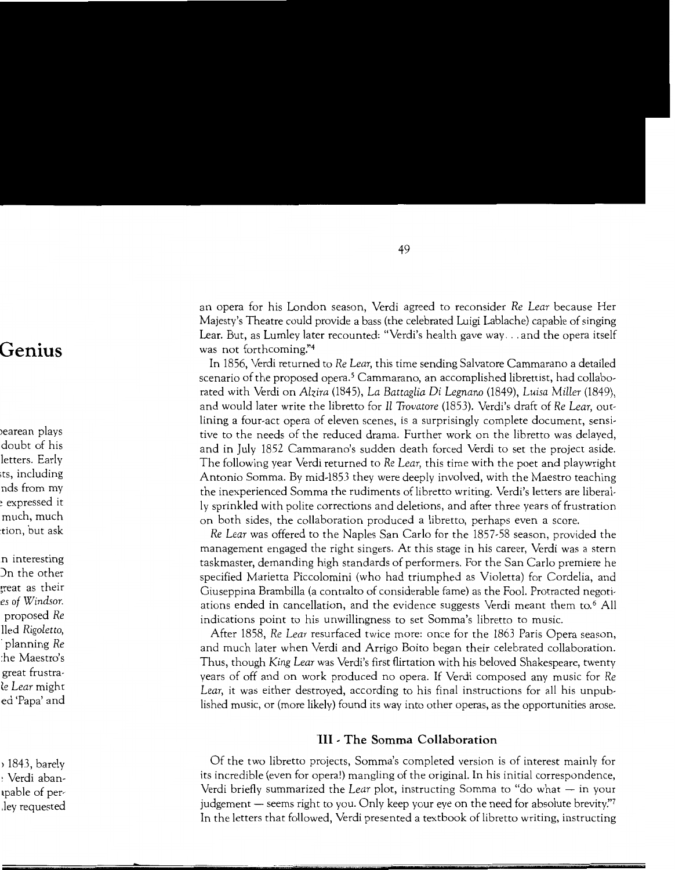an opera for his London season, Verdi agreed to reconsider *Re Lear* because Her Majesty's Theatre could provide a bass (the celebrated Luigi Lablache) capable of singing Lear. But, as Lumley later recounted: "Verdi's health gave way ... and the opera itself was not forthcoming:'4

In 1856, Verdi returned to *Re Lear,* this time sending Salvatore Cammarano a detailed scenario of the proposed opera. *5* Cammarano, an accomplished librettist, had collaborated with Verdi on *Alzira* (1845), *La Battaglia* Di *Legnano* (1849), *Luisa Miller* (1849), and would later write the libretto for *Il Trovatore* (1853). Verdi's draft of *Re Lear,* outlining a four-act opera of eleven scenes, is a surprisingly complete document, sensitive to the needs of the reduced drama. Further work on the libretto was delayed, and in July 1852 Cammarano's sudden death forced Verdi to set the project aside. The following year Verdi returned to *Re Lear,* this time with the poet and playwright Antonio Somma. By mid-1853 they were deeply involved, with the Maestro teaching the inexperienced Somma the rudiments of libretto writing. Verdi's letters are liberally sprinkled with polite corrections and deletions, and after three years of frustration on both sides, the collaboration produced a libretto, perhaps even a score.

*Re Lear* was offered to the Naples San Carlo for the 1857-58 season, provided the management engaged the right singers. At this stage in his career, Verdi was a stern taskmaster, demanding high standards of performers. For the San Carlo premiere he specified Marietta Piccolomini (who had triumphed as Violetta) for Cordelia, and Giuseppina Brambilla (a contralto of considerable fame) as the Fool. Protracted negotiations ended in cancellation, and the evidence suggests Verdi meant them to.<sup>6</sup> All indications point to his unwillingness to set Somma's libretto to music.

After 1858, *Re Lear* resurfaced twice more: once for the 1863 Paris Opera season, and much later when Verdi and Arrigo Boito began their celebrated collaboration. Thus, though *King Lear* was Verdi's first flirtation with his beloved Shakespeare, twenty years of off and on work produced no opera. If Verdi composed any music for *Re Lear,* it was either destroyed, according to his final instructions for all his unpublished music, or (more likely) found its way into other operas, as the opportunities arose.

#### **HI · The Somma Collaboration**

Of the two libretto projects, Somma's completed version is of interest mainly for its incredible (even for opera!) mangling of the original. In his initial correspondence, Verdi briefly summarized the *Lear* plot, instructing Somma to "do what - in your judgement  $-$  seems right to you. Only keep your eye on the need for absolute brevity." In the letters that followed, Verdi presented a textbook of libretto writing, instructing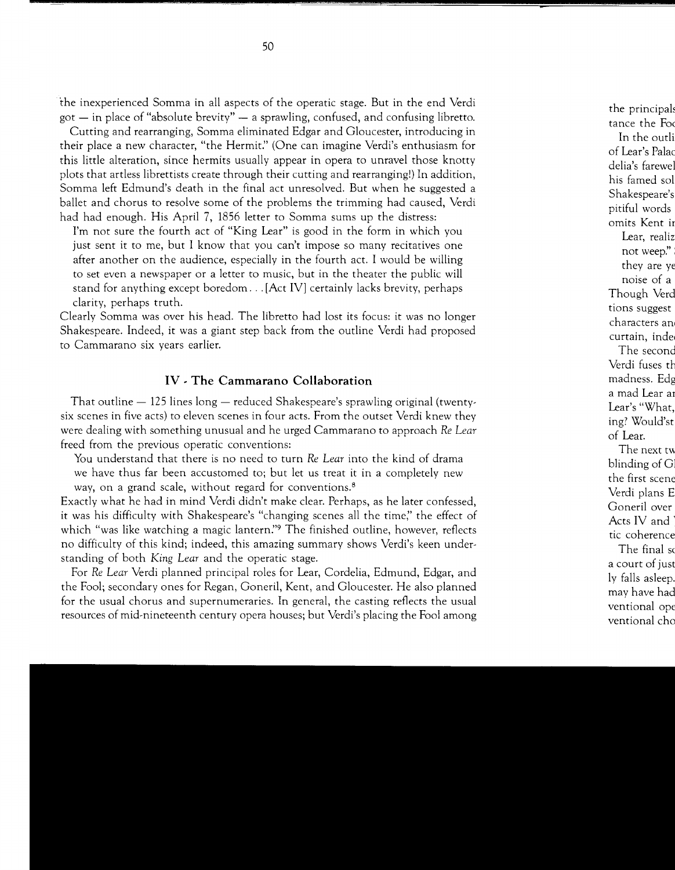the inexperienced Somma in all aspects of the operatic stage. But in the end Verdi  $\gamma$  got  $-$  in place of "absolute brevity"  $-$  a sprawling, confused, and confusing libretto.

Cutting and rearranging, Somma eliminated Edgar and Gloucester, introducing in their place a new character, "the Hermit." (One can imagine Verdi's enthusiasm for this little alteration, since hermits usually appear in opera to unravel those knotty plots that artless librettists create through their cutting and rearranging!) In addition, Somma left Edmund's death in the final act unresolved. But when he suggested a ballet and chorus to resolve some of the problems the trimming had caused, Verdi had had enough. His April 7, 1856 letter to Somma sums up the distress:

I'm not sure the fourth act of "King Lear" is good in the form in which you just sent it to me, but I know that you can't impose so many recitatives one after another on the audience, especially in the fourth act. I would be willing to set even a newspaper or a letter to music, but in the theater the public will stand for anything except boredom ... [Act IV] certainly lacks brevity, perhaps clarity, perhaps truth.

Clearly Somma was over his head. The libretto had lost its focus: it was no longer Shakespeare. Indeed, it was a giant step back from the outline Verdi had proposed to Cammarano six years earlier.

#### **IV - The Cammarano Collaboration**

That outline  $-$  125 lines long  $-$  reduced Shakespeare's sprawling original (twentysix scenes in five acts) to eleven scenes in four acts. From the outset Verdi knew they were dealing with something unusual and he urged Cammarano to approach *Re Lear*  freed from the previous operatic conventions:

You understand that there is no need to turn *Re Lear* into the kind of drama we have thus far been accustomed to; but let us treat it in a completely new way, on a grand scale, without regard for conventions.<sup>8</sup>

Exactly what he had in mind Verdi didn't make clear. Perhaps, as he later confessed, it was his difficulty with Shakespeare's "changing scenes all the time;' the effect of which "was like watching a magic lantern." The finished outline, however, reflects no difficulty of this kind; indeed, this amazing summary shows Verdi's keen understanding of both King *Lear* and the operatic stage.

For *Re Lear* Verdi planned principal roles for Lear, Cordelia, Edmund, Edgar, and the Fool; secondary ones for Regan, Goneril, Kent, and Gloucester. He also planned for the usual chorus and supernumeraries. In general, the casting reflects the usual resources of mid-nineteenth century opera houses; but Verdi's placing the Fool among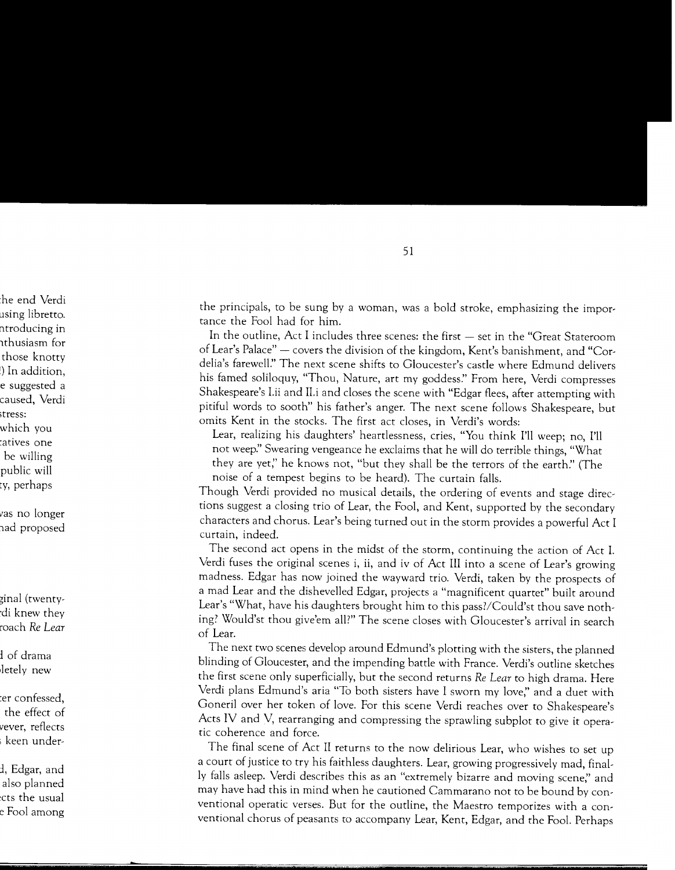the principals, to be sung by a woman, was a bold stroke, emphasizing the importance the Fool had for him.

In the outline, Act I includes three scenes: the first - set in the "Great Stateroom of Lear's Palace" - covers the division of the kingdom, Kent's banishment, and "Cordelia's farewell." The next scene shifts to Gloucester's castle where Edmund delivers his famed soliloquy, "Thou, Nature, art my goddess." From here, Verdi compresses Shakespeare's l.ii and Il.i and closes the scene with "Edgar flees, after attempting with pitiful words to sooth" his father's anger. The next scene follows Shakespeare, but omits Kent in the stocks. The first act closes, in Verdi's words:

Lear, realizing his daughters' heartlessness, cries, "You think I'll weep; no, I'll not weep:' Swearing vengeance he exclaims that he will do terrible things, "What they are yet;' he knows not, "but they shall be the terrors of the earth:' (The noise of a tempest begins to be heard). The curtain falls.

Though Verdi provided no musical details, the ordering of events and stage directions suggest a closing trio of Lear, the Fool, and Kent, supported by the secondary characters and chorus. Lear's being turned out in the storm provides a powerful Act I curtain, indeed.

The second act opens in the midst of the storm, continuing the action of Act I. Verdi fuses the original scenes i, ii, and iv of Act III into a scene of Lear's growing madness. Edgar has now joined the wayward trio. Verdi, taken by the prospects of a mad Lear and the dishevelled Edgar, projects a "magnificent quartet" built around Lear's "What, have his daughters brought him to this pass?/Could'st thou save nothing? Would'st thou give'em all?" The scene closes with Gloucester's arrival in search of Lear.

The next two scenes develop around Edmund's plotting with the sisters, the planned blinding of Gloucester, and the impending battle with France. Verdi's outline sketches the first scene only superficially, but the second returns *Re Lear* to high drama. Here Verdi plans Edmund's aria "To both sisters have I sworn my love," and a duet with Goneril over her token of love. For this scene Verdi reaches over to Shakespeare's Acts IV and V, rearranging and compressing the sprawling subplot to give it operatic coherence and force.

The final scene of Act II returns to the now delirious Lear, who wishes to set up a court of justice to try his faithless daughters. Lear, growing progressively mad, finally falls asleep. Verdi describes this as an "extremely bizarre and moving scene;' and may have had this in mind when he cautioned Cammarano not to be bound by conventional operatic verses. But for the outline, the Maestro temporizes with a conventional chorus of peasants to accompany Lear, Kent, Edgar, and the Fool. Perhaps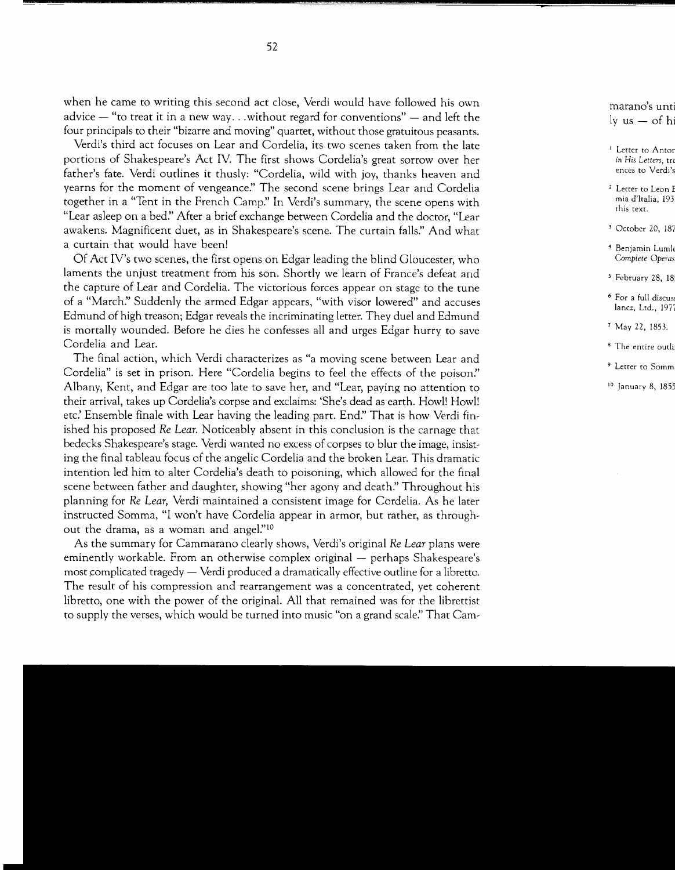when he came to writing this second act close, Verdi would have followed his own advice  $-$  "to treat it in a new way ... without regard for conventions"  $-$  and left the four principals to their "bizarre and moving" quartet, without those gratuitous peasants.

Verdi's third act focuses on Lear and Cordelia, its two scenes taken from the late portions of Shakespeare's Act IV. The first shows Cordelia's great sorrow over her father's fate. Verdi outlines it thusly: "Cordelia, wild with joy, thanks heaven and yearns for the moment of vengeance:' The second scene brings Lear and Cordelia together in a "Tent in the French Camp:' In Verdi's summary, the scene opens with "Lear asleep on a bed." After a brief exchange between Cordelia and the doctor, "Lear awakens. Magnificent duet, as in Shakespeare's scene. The curtain falls." And what a curtain that would have been!

Of Act IV's two scenes, the first opens on Edgar leading the blind Gloucester, who laments the unjust treatment from his son. Shortly we learn of France's defeat and the capture of Lear and Cordelia. The victorious forces appear on stage to the tune of a "March:' Suddenly the armed Edgar appears, "with visor lowered" and accuses Edmund of high treason; Edgar reveals the incriminating letter. They duel and Edmund is mortally wounded. Before he dies he confesses all and urges Edgar hurry to save Cordelia and Lear.

The final action, which Verdi characterizes as "a moving scene between Lear and Cordelia" is set in prison. Here "Cordelia begins to feel the effects of the poison:' Albany, Kent, and Edgar are too late to save her, and "Lear, paying no attention to their arrival, takes up Cordelia's corpse and exclaims: 'She's dead as earth. Howl! Howl! *etc:* Ensemble finale with Lear having the leading part. End:' That is how Verdi finished his proposed *Re Lear.* Noticeably absent in this conclusion is the carnage that bedecks Shakespeare's stage. Verdi wanted no excess of corpses to blur the image, insisting the final tableau focus of the angelic Cordelia and the broken Lear. This dramatic intention led him to alter Cordelia's death to poisoning, which allowed for the final scene between father and daughter, showing "her agony and death." Throughout his planning for *Re Lear,* Verdi maintained a consistent image for Cordelia. As he later instructed Somma, "I won't have Cordelia appear in armor, but rather, as throughout the drama, as a woman and angel."<sup>10</sup>

As the summary for Cammarano clearly shows, Verdi's original *Re Lear* plans were eminently workable. From an otherwise complex original - perhaps Shakespeare's most complicated tragedy — Verdi produced a dramatically effective outline for a libretto. The result of his compression and rearrangement was a concentrated, yet coherent libretto, one with the power of the original. All that remained was for the librettist to supply the verses, which would be turned into music "on a grand scale:' That Cam-